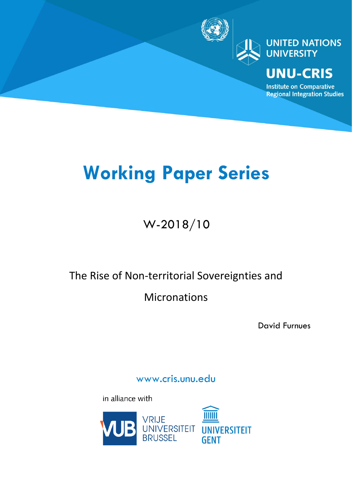

**UNITED NATIONS UNIVERSITY** 

# **UNU-CRIS**

**Institute on Comparative Regional Integration Studies** 

# **Working Paper Series**

# W-2018/10

# The Rise of Non-territorial Sovereignties and

# Micronations

David Furnues

www.cris.unu.edu

in alliance with

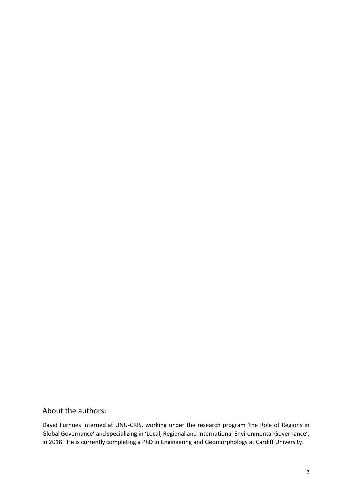# About the authors:

David Furnues interned at UNU-CRIS, working under the research program 'the Role of Regions in Global Governance' and specializing in 'Local, Regional and International Environmental Governance', in 2018. He is currently completing a PhD in Engineering and Geomorphology at Cardiff University.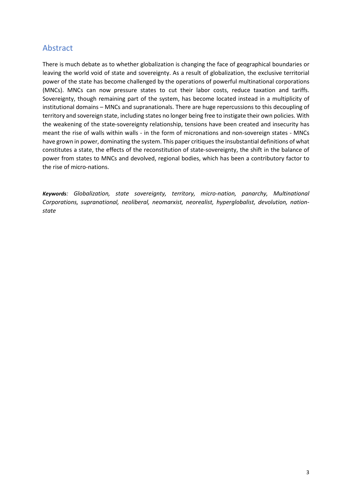# Abstract

There is much debate as to whether globalization is changing the face of geographical boundaries or leaving the world void of state and sovereignty. As a result of globalization, the exclusive territorial power of the state has become challenged by the operations of powerful multinational corporations (MNCs). MNCs can now pressure states to cut their labor costs, reduce taxation and tariffs. Sovereignty, though remaining part of the system, has become located instead in a multiplicity of institutional domains – MNCs and supranationals. There are huge repercussions to this decoupling of territory and sovereign state, including states no longer being free to instigate their own policies. With the weakening of the state-sovereignty relationship, tensions have been created and insecurity has meant the rise of walls within walls - in the form of micronations and non-sovereign states - MNCs have grown in power, dominating the system. This paper critiques the insubstantial definitions of what constitutes a state, the effects of the reconstitution of state-sovereignty, the shift in the balance of power from states to MNCs and devolved, regional bodies, which has been a contributory factor to the rise of micro-nations.

*Keywords: Globalization, state sovereignty, territory, micro-nation, panarchy, Multinational Corporations, supranational, neoliberal, neomarxist, neorealist, hyperglobalist, devolution, nationstate*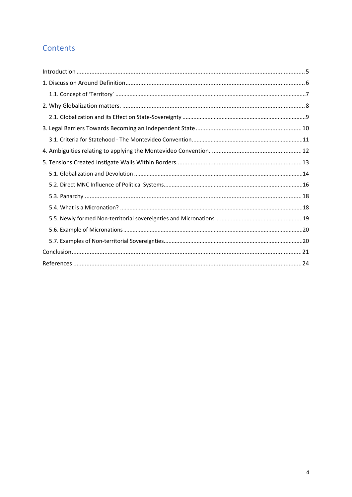# Contents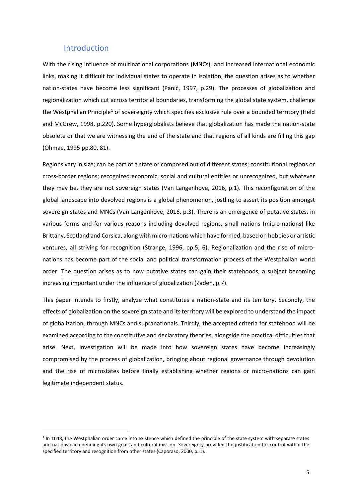#### Introduction

<span id="page-4-0"></span>With the rising influence of multinational corporations (MNCs), and increased international economic links, making it difficult for individual states to operate in isolation, the question arises as to whether nation-states have become less significant (Panić, 1997, p.29). The processes of globalization and regionalization which cut across territorial boundaries, transforming the global state system, challenge the Westphalian Principle<sup>[1](#page-4-1)</sup> of sovereignty which specifies exclusive rule over a bounded territory (Held and McGrew, 1998, p.220). Some hyperglobalists believe that globalization has made the nation-state obsolete or that we are witnessing the end of the state and that regions of all kinds are filling this gap (Ohmae, 1995 pp.80, 81).

Regions vary in size; can be part of a state or composed out of different states; constitutional regions or cross-border regions; recognized economic, social and cultural entities or unrecognized, but whatever they may be, they are not sovereign states (Van Langenhove, 2016, p.1). This reconfiguration of the global landscape into devolved regions is a global phenomenon, jostling to assert its position amongst sovereign states and MNCs (Van Langenhove, 2016, p.3). There is an emergence of putative states, in various forms and for various reasons including devolved regions, small nations (micro-nations) like Brittany, Scotland and Corsica, along with micro-nations which have formed, based on hobbies or artistic ventures, all striving for recognition (Strange, 1996, pp.5, 6). Regionalization and the rise of micronations has become part of the social and political transformation process of the Westphalian world order. The question arises as to how putative states can gain their statehoods, a subject becoming increasing important under the influence of globalization (Zadeh, p.7).

This paper intends to firstly, analyze what constitutes a nation-state and its territory. Secondly, the effects of globalization on the sovereign state and its territory will be explored to understand the impact of globalization, through MNCs and supranationals. Thirdly, the accepted criteria for statehood will be examined according to the constitutive and declaratory theories, alongside the practical difficulties that arise. Next, investigation will be made into how sovereign states have become increasingly compromised by the process of globalization, bringing about regional governance through devolution and the rise of microstates before finally establishing whether regions or micro-nations can gain legitimate independent status.

<span id="page-4-1"></span> $1$  In 1648, the Westphalian order came into existence which defined the principle of the state system with separate states and nations each defining its own goals and cultural mission. Sovereignty provided the justification for control within the specified territory and recognition from other states (Caporaso, 2000, p. 1).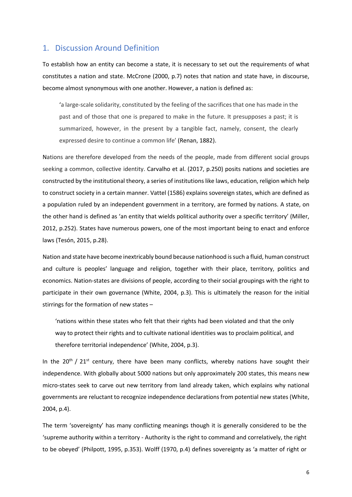## <span id="page-5-0"></span>1. Discussion Around Definition

To establish how an entity can become a state, it is necessary to set out the requirements of what constitutes a nation and state. McCrone (2000, p.7) notes that nation and state have, in discourse, become almost synonymous with one another. However, a nation is defined as:

'a large-scale solidarity, constituted by the feeling of the sacrifices that one has made in the past and of those that one is prepared to make in the future. It presupposes a past; it is summarized, however, in the present by a tangible fact, namely, consent, the clearly expressed desire to continue a common life' (Renan, 1882).

Nations are therefore developed from the needs of the people, made from different social groups seeking a common, collective identity. Carvalho et al. (2017, p.250) posits nations and societies are constructed by the institutional theory, a series of institutions like laws, education, religion which help to construct society in a certain manner. Vattel (1586) explains sovereign states, which are defined as a population ruled by an independent government in a territory, are formed by nations. A state, on the other hand is defined as 'an entity that wields political authority over a specific territory' (Miller, 2012, p.252). States have numerous powers, one of the most important being to enact and enforce laws (Tesón, 2015, p.28).

Nation and state have become inextricably bound because nationhood is such a fluid, human construct and culture is peoples' language and religion, together with their place, territory, politics and economics. Nation-states are divisions of people, according to their social groupings with the right to participate in their own governance (White, 2004, p.3). This is ultimately the reason for the initial stirrings for the formation of new states –

'nations within these states who felt that their rights had been violated and that the only way to protect their rights and to cultivate national identities was to proclaim political, and therefore territorial independence' (White, 2004, p.3).

In the  $20^{th}$  /  $21^{st}$  century, there have been many conflicts, whereby nations have sought their independence. With globally about 5000 nations but only approximately 200 states, this means new micro-states seek to carve out new territory from land already taken, which explains why national governments are reluctant to recognize independence declarations from potential new states (White, 2004, p.4).

The term 'sovereignty' has many conflicting meanings though it is generally considered to be the 'supreme authority within a territory - Authority is the right to command and correlatively, the right to be obeyed' (Philpott, 1995, p.353). Wolff (1970, p.4) defines sovereignty as 'a matter of right or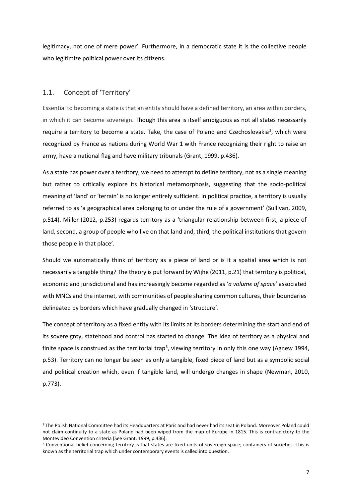legitimacy, not one of mere power'. Furthermore, in a democratic state it is the collective people who legitimize political power over its citizens.

### <span id="page-6-0"></span>1.1. Concept of 'Territory'

Essential to becoming a state is that an entity should have a defined territory, an area within borders, in which it can become sovereign. Though this area is itself ambiguous as not all states necessarily require a territory to become a state. Take, the case of Poland and Czechoslovakia<sup>[2](#page-6-1)</sup>, which were recognized by France as nations during World War 1 with France recognizing their right to raise an army, have a national flag and have military tribunals (Grant, 1999, p.436).

As a state has power over a territory, we need to attempt to define territory, not as a single meaning but rather to critically explore its historical metamorphosis, suggesting that the socio-political meaning of 'land' or 'terrain' is no longer entirely sufficient. In political practice, a territory is usually referred to as 'a geographical area belonging to or under the rule of a government' (Sullivan, 2009, p.514). Miller (2012, p.253) regards territory as a 'triangular relationship between first, a piece of land, second, a group of people who live on that land and, third, the political institutions that govern those people in that place'.

Should we automatically think of territory as a piece of land or is it a spatial area which is not necessarily a tangible thing? The theory is put forward by Wijhe (2011, p.21) that territory is political, economic and jurisdictional and has increasingly become regarded as '*a volume of space*' associated with MNCs and the internet, with communities of people sharing common cultures, their boundaries delineated by borders which have gradually changed in 'structure'.

The concept of territory as a fixed entity with its limits at its borders determining the start and end of its sovereignty, statehood and control has started to change. The idea of territory as a physical and finite space is construed as the territorial trap<sup>[3](#page-6-2)</sup>, viewing territory in only this one way (Agnew 1994, p.53). Territory can no longer be seen as only a tangible, fixed piece of land but as a symbolic social and political creation which, even if tangible land, will undergo changes in shape (Newman, 2010, p.773).

<span id="page-6-1"></span><sup>&</sup>lt;sup>2</sup> The Polish National Committee had its Headquarters at Paris and had never had its seat in Poland. Moreover Poland could not claim continuity to a state as Poland had been wiped from the map of Europe in 1815. This is contradictory to the Montevideo Convention criteria (See Grant, 1999, p.436).

<span id="page-6-2"></span><sup>&</sup>lt;sup>3</sup> Conventional belief concerning territory is that states are fixed units of sovereign space; containers of societies. This is known as the territorial trap which under contemporary events is called into question.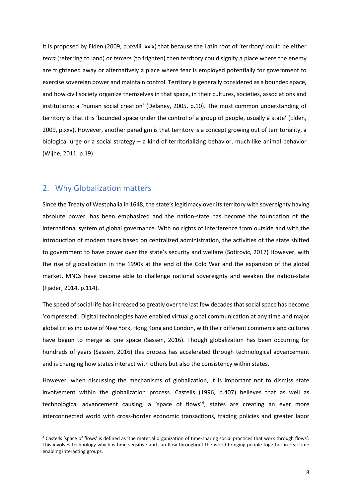It is proposed by Elden (2009, p.xxviii, xxix) that because the Latin root of 'territory' could be either *terra* (referring to land) or *terrere* (to frighten) then territory could signify a place where the enemy are frightened away or alternatively a place where fear is employed potentially for government to exercise sovereign power and maintain control. Territory is generally considered as a bounded space, and how civil society organize themselves in that space, in their cultures, societies, associations and institutions; a 'human social creation' (Delaney, 2005, p.10). The most common understanding of territory is that it is 'bounded space under the control of a group of people, usually a state' (Elden, 2009, p.xxv). However, another paradigm is that territory is a concept growing out of territoriality, a biological urge or a social strategy – a kind of territorializing behavior, much like animal behavior (Wijhe, 2011, p.19).

### <span id="page-7-0"></span>2. Why Globalization matters

Since the Treaty of Westphalia in 1648, the state's legitimacy over its territory with sovereignty having absolute power, has been emphasized and the nation-state has become the foundation of the international system of global governance. With no rights of interference from outside and with the introduction of modern taxes based on centralized administration, the activities of the state shifted to government to have power over the state's security and welfare (Sotirovic, 2017) However, with the rise of globalization in the 1990s at the end of the Cold War and the expansion of the global market, MNCs have become able to challenge national sovereignty and weaken the nation-state (Fjäder, 2014, p.114).

The speed of social life has increased so greatly over the last few decades that social space has become 'compressed'. Digital technologies have enabled virtual global communication at any time and major global cities inclusive of New York, Hong Kong and London, with their different commerce and cultures have begun to merge as one space (Sassen, 2016). Though globalization has been occurring for hundreds of years (Sassen, 2016) this process has accelerated through technological advancement and is changing how states interact with others but also the consistency within states.

However, when discussing the mechanisms of globalization, it is important not to dismiss state involvement within the globalization process. Castells (1996, p.407) believes that as well as technological advancement causing, a 'space of flows'<sup>[4](#page-7-1)</sup>, states are creating an ever more interconnected world with cross-border economic transactions, trading policies and greater labor

<span id="page-7-1"></span> <sup>4</sup> Castells 'space of flows' is defined as 'the material organization of time-sharing social practices that work through flows'. This involves technology which is time-sensitive and can flow throughout the world bringing people together in real time enabling interacting groups.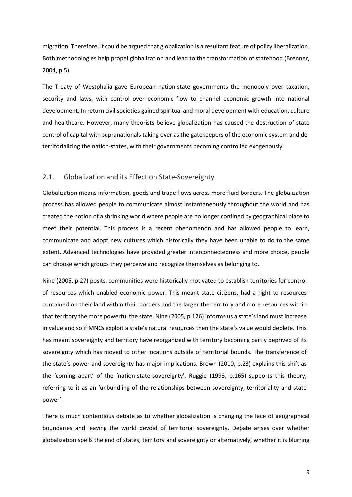migration. Therefore, it could be argued that globalization is a resultant feature of policy liberalization. Both methodologies help propel globalization and lead to the transformation of statehood (Brenner, 2004, p.5).

The Treaty of Westphalia gave European nation-state governments the monopoly over taxation, security and laws, with control over economic flow to channel economic growth into national development. In return civil societies gained spiritual and moral development with education, culture and healthcare. However, many theorists believe globalization has caused the destruction of state control of capital with supranationals taking over as the gatekeepers of the economic system and deterritorializing the nation-states, with their governments becoming controlled exogenously.

#### <span id="page-8-0"></span>2.1. Globalization and its Effect on State-Sovereignty

Globalization means information, goods and trade flows across more fluid borders. The globalization process has allowed people to communicate almost instantaneously throughout the world and has created the notion of a shrinking world where people are no longer confined by geographical place to meet their potential. This process is a recent phenomenon and has allowed people to learn, communicate and adopt new cultures which historically they have been unable to do to the same extent. Advanced technologies have provided greater interconnectedness and more choice, people can choose which groups they perceive and recognize themselves as belonging to.

Nine (2005, p.27) posits, communities were historically motivated to establish territories for control of resources which enabled economic power. This meant state citizens, had a right to resources contained on their land within their borders and the larger the territory and more resources within that territory the more powerful the state. Nine (2005, p.126) informs us a state's land must increase in value and so if MNCs exploit a state's natural resources then the state's value would deplete. This has meant sovereignty and territory have reorganized with territory becoming partly deprived of its sovereignty which has moved to other locations outside of territorial bounds. The transference of the state's power and sovereignty has major implications. Brown (2010, p.23) explains this shift as the 'coming apart' of the 'nation-state-sovereignty'. Ruggie (1993, p.165) supports this theory, referring to it as an 'unbundling of the relationships between sovereignty, territoriality and state power'.

There is much contentious debate as to whether globalization is changing the face of geographical boundaries and leaving the world devoid of territorial sovereignty. Debate arises over whether globalization spells the end of states, territory and sovereignty or alternatively, whether it is blurring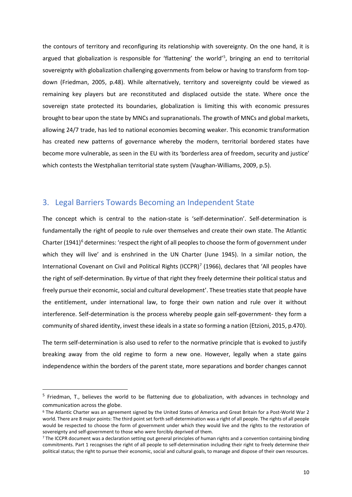the contours of territory and reconfiguring its relationship with sovereignty. On the one hand, it is argued that globalization is responsible for 'flattening' the world' [5](#page-9-1) , bringing an end to territorial sovereignty with globalization challenging governments from below or having to transform from topdown (Friedman, 2005, p.48). While alternatively, territory and sovereignty could be viewed as remaining key players but are reconstituted and displaced outside the state. Where once the sovereign state protected its boundaries, globalization is limiting this with economic pressures brought to bear upon the state by MNCs and supranationals. The growth of MNCs and global markets, allowing 24/7 trade, has led to national economies becoming weaker. This economic transformation has created new patterns of governance whereby the modern, territorial bordered states have become more vulnerable, as seen in the EU with its 'borderless area of freedom, security and justice' which contests the Westphalian territorial state system (Vaughan-Williams, 2009, p.5).

### <span id="page-9-0"></span>3. Legal Barriers Towards Becoming an Independent State

The concept which is central to the nation-state is 'self-determination'. Self-determination is fundamentally the right of people to rule over themselves and create their own state. The Atlantic Charter  $(1941)^6$  $(1941)^6$  determines: 'respect the right of all peoples to choose the form of government under which they will live' and is enshrined in the UN Charter (June 1945). In a similar notion, the International Covenant on Civil and Political Rights (ICCPR)<sup>[7](#page-9-3)</sup> (1966), declares that 'All peoples have the right of self-determination. By virtue of that right they freely determine their political status and freely pursue their economic, social and cultural development'. These treaties state that people have the entitlement, under international law, to forge their own nation and rule over it without interference. Self-determination is the process whereby people gain self-government- they form a community of shared identity, invest these ideals in a state so forming a nation (Etzioni, 2015, p.470).

The term self-determination is also used to refer to the normative principle that is evoked to justify breaking away from the old regime to form a new one. However, legally when a state gains independence within the borders of the parent state, more separations and border changes cannot

<span id="page-9-1"></span> $<sup>5</sup>$  Friedman, T., believes the world to be flattening due to globalization, with advances in technology and</sup> communication across the globe.

<span id="page-9-2"></span><sup>6</sup> The Atlantic Charter was an agreement signed by the United States of America and Great Britain for a Post-World War 2 world. There are 8 major points: The third point set forth self-determination was a right of all people. The rights of all people would be respected to choose the form of government under which they would live and the rights to the restoration of sovereignty and self-government to those who were forcibly deprived of them.<br>7 The ICCPR document was a declaration setting out general principles of human rights and a convention containing binding

<span id="page-9-3"></span>commitments. Part 1 recognises the right of all people to self-determination including their right to freely determine their political status; the right to pursue their economic, social and cultural goals, to manage and dispose of their own resources.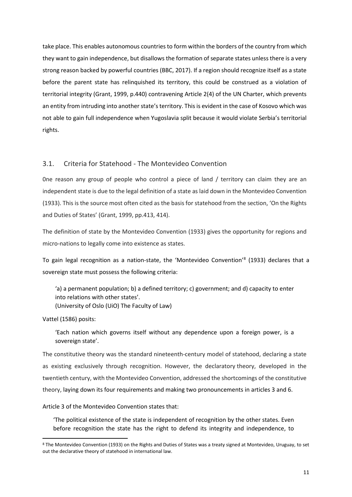take place. This enables autonomous countries to form within the borders of the country from which they want to gain independence, but disallows the formation of separate states unless there is a very strong reason backed by powerful countries (BBC, 2017). If a region should recognize itself as a state before the parent state has relinquished its territory, this could be construed as a violation of territorial integrity (Grant, 1999, p.440) contravening Article 2(4) of the UN Charter, which prevents an entity from intruding into another state's territory. This is evident in the case of Kosovo which was not able to gain full independence when Yugoslavia split because it would violate Serbia's territorial rights.

#### <span id="page-10-0"></span>3.1. Criteria for Statehood - The Montevideo Convention

0ne reason any group of people who control a piece of land / territory can claim they are an independent state is due to the legal definition of a state as laid down in the Montevideo Convention (1933). This is the source most often cited as the basis for statehood from the section, 'On the Rights and Duties of States' (Grant, 1999, pp.413, 414).

The definition of state by the Montevideo Convention (1933) gives the opportunity for regions and micro-nations to legally come into existence as states.

To gain legal recognition as a nation-state, the 'Montevideo Convention['8](#page-10-1) (1933) declares that a sovereign state must possess the following criteria:

'a) a permanent population; b) a defined territory; c) government; and d) capacity to enter into relations with other states'. (University of Oslo (UiO) The Faculty of Law)

Vattel (1586) posits:

'Each nation which governs itself without any dependence upon a foreign power, is a sovereign state'.

The constitutive theory was the standard nineteenth-century model of statehood, declaring a state as existing exclusively through recognition. However, the declaratory theory, developed in the twentieth century, with the Montevideo Convention, addressed the shortcomings of the constitutive theory, laying down its four requirements and making two pronouncements in articles 3 and 6.

Article 3 of the Montevideo Convention states that:

'The political existence of the state is independent of recognition by the other states. Even before recognition the state has the right to defend its integrity and independence, to

<span id="page-10-1"></span> <sup>8</sup> The Montevideo Convention (1933) on the Rights and Duties of States was a treaty signed at Montevideo, Uruguay, to set out the declarative theory of statehood in international law.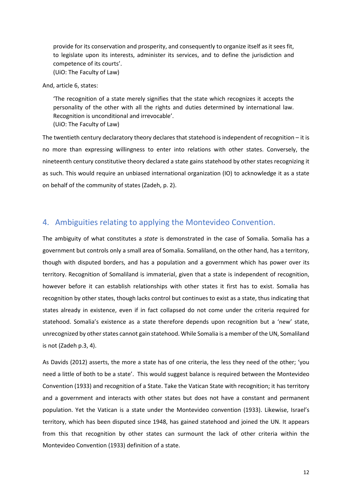provide for its conservation and prosperity, and consequently to organize itself as it sees fit, to legislate upon its interests, administer its services, and to define the jurisdiction and competence of its courts'. (UiO: The Faculty of Law)

And, article 6, states:

'The recognition of a state merely signifies that the state which recognizes it accepts the personality of the other with all the rights and duties determined by international law. Recognition is unconditional and irrevocable'.

(UiO: The Faculty of Law)

The twentieth century declaratory theory declares that statehood is independent of recognition – it is no more than expressing willingness to enter into relations with other states. Conversely, the nineteenth century constitutive theory declared a state gains statehood by other states recognizing it as such. This would require an unbiased international organization (IO) to acknowledge it as a state on behalf of the community of states (Zadeh, p. 2).

# <span id="page-11-0"></span>4. Ambiguities relating to applying the Montevideo Convention.

The ambiguity of what constitutes a *state* is demonstrated in the case of Somalia. Somalia has a government but controls only a small area of Somalia. Somaliland, on the other hand, has a territory, though with disputed borders, and has a population and a government which has power over its territory. Recognition of Somaliland is immaterial, given that a state is independent of recognition, however before it can establish relationships with other states it first has to exist. Somalia has recognition by other states, though lacks control but continues to exist as a state, thus indicating that states already in existence, even if in fact collapsed do not come under the criteria required for statehood. Somalia's existence as a state therefore depends upon recognition but a 'new' state, unrecognized by other states cannot gain statehood. While Somalia is a member of the UN, Somaliland is not (Zadeh p.3, 4).

As Davids (2012) asserts, the more a state has of one criteria, the less they need of the other; 'you need a little of both to be a state'. This would suggest balance is required between the Montevideo Convention (1933) and recognition of a State. Take the Vatican State with recognition; it has territory and a government and interacts with other states but does not have a constant and permanent population. Yet the Vatican is a state under the Montevideo convention (1933). Likewise, Israel's territory, which has been disputed since 1948, has gained statehood and joined the UN. It appears from this that recognition by other states can surmount the lack of other criteria within the Montevideo Convention (1933) definition of a state.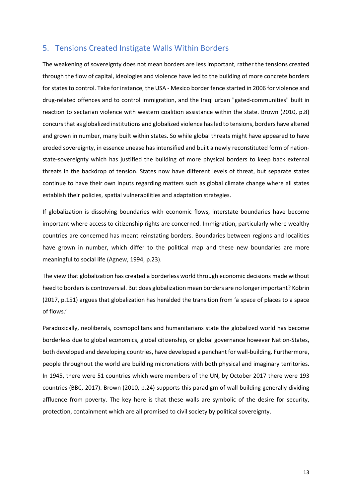## <span id="page-12-0"></span>5. Tensions Created Instigate Walls Within Borders

The weakening of sovereignty does not mean borders are less important, rather the tensions created through the flow of capital, ideologies and violence have led to the building of more concrete borders for states to control. Take for instance, the USA - Mexico border fence started in 2006 for violence and drug-related offences and to control immigration, and the Iraqi urban "gated-communities" built in reaction to sectarian violence with western coalition assistance within the state. Brown (2010, p.8) concurs that as globalized institutions and globalized violence has led to tensions, borders have altered and grown in number, many built within states. So while global threats might have appeared to have eroded sovereignty, in essence unease has intensified and built a newly reconstituted form of nationstate-sovereignty which has justified the building of more physical borders to keep back external threats in the backdrop of tension. States now have different levels of threat, but separate states continue to have their own inputs regarding matters such as global climate change where all states establish their policies, spatial vulnerabilities and adaptation strategies.

If globalization is dissolving boundaries with economic flows, interstate boundaries have become important where access to citizenship rights are concerned. Immigration, particularly where wealthy countries are concerned has meant reinstating borders. Boundaries between regions and localities have grown in number, which differ to the political map and these new boundaries are more meaningful to social life (Agnew, 1994, p.23).

The view that globalization has created a borderless world through economic decisions made without heed to borders is controversial. But does globalization mean borders are no longer important? Kobrin (2017, p.151) argues that globalization has heralded the transition from 'a space of places to a space of flows.'

Paradoxically, neoliberals, cosmopolitans and humanitarians state the globalized world has become borderless due to global economics, global citizenship, or global governance however Nation-States, both developed and developing countries, have developed a penchant for wall-building. Furthermore, people throughout the world are building micronations with both physical and imaginary territories. In 1945, there were 51 countries which were members of the UN, by October 2017 there were 193 countries (BBC, 2017). Brown (2010, p.24) supports this paradigm of wall building generally dividing affluence from poverty. The key here is that these walls are symbolic of the desire for security, protection, containment which are all promised to civil society by political sovereignty.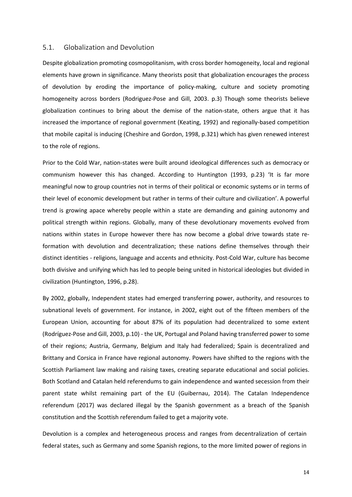#### <span id="page-13-0"></span>5.1. Globalization and Devolution

Despite globalization promoting cosmopolitanism, with cross border homogeneity, local and regional elements have grown in significance. Many theorists posit that globalization encourages the process of devolution by eroding the importance of policy-making, culture and society promoting homogeneity across borders (Rodriguez-Pose and Gill, 2003. p.3) Though some theorists believe globalization continues to bring about the demise of the nation-state, others argue that it has increased the importance of regional government (Keating, 1992) and regionally-based competition that mobile capital is inducing (Cheshire and Gordon, 1998, p.321) which has given renewed interest to the role of regions.

Prior to the Cold War, nation-states were built around ideological differences such as democracy or communism however this has changed. According to Huntington (1993, p.23) 'It is far more meaningful now to group countries not in terms of their political or economic systems or in terms of their level of economic development but rather in terms of their culture and civilization'. A powerful trend is growing apace whereby people within a state are demanding and gaining autonomy and political strength within regions. Globally, many of these devolutionary movements evolved from nations within states in Europe however there has now become a global drive towards state reformation with devolution and decentralization; these nations define themselves through their distinct identities - religions, language and accents and ethnicity. Post-Cold War, culture has become both divisive and unifying which has led to people being united in historical ideologies but divided in civilization (Huntington, 1996, p.28).

By 2002, globally, Independent states had emerged transferring power, authority, and resources to subnational levels of government. For instance, in 2002, eight out of the fifteen members of the European Union, accounting for about 87% of its population had decentralized to some extent (Rodríguez-Pose and Gill, 2003, p.10) - the UK, Portugal and Poland having transferred power to some of their regions; Austria, Germany, Belgium and Italy had federalized; Spain is decentralized and Brittany and Corsica in France have regional autonomy. Powers have shifted to the regions with the Scottish Parliament law making and raising taxes, creating separate educational and social policies. Both Scotland and Catalan held referendums to gain independence and wanted secession from their parent state whilst remaining part of the EU (Guibernau, 2014). The Catalan Independence referendum (2017) was declared illegal by the Spanish government as a breach of the Spanish constitution and the Scottish referendum failed to get a majority vote.

Devolution is a complex and heterogeneous process and ranges from decentralization of certain federal states, such as Germany and some Spanish regions, to the more limited power of regions in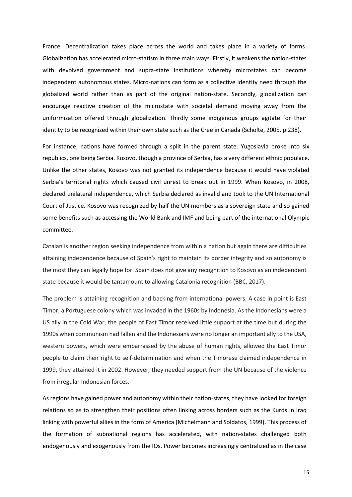France. Decentralization takes place across the world and takes place in a variety of forms. Globalization has accelerated micro-statism in three main ways. Firstly, it weakens the nation-states with devolved government and supra-state institutions whereby microstates can become independent autonomous states. Micro-nations can form as a collective identity need through the globalized world rather than as part of the original nation-state. Secondly, globalization can encourage reactive creation of the microstate with societal demand moving away from the uniformization offered through globalization. Thirdly some indigenous groups agitate for their identity to be recognized within their own state such as the Cree in Canada (Scholte, 2005. p.238).

For instance, nations have formed through a split in the parent state. Yugoslavia broke into six republics, one being Serbia. Kosovo, though a province of Serbia, has a very different ethnic populace. Unlike the other states, Kosovo was not granted its independence because it would have violated Serbia's territorial rights which caused civil unrest to break out in 1999. When Kosovo, in 2008, declared unilateral independence, which Serbia declared as invalid and took to the UN International Court of Justice. Kosovo was recognized by half the UN members as a sovereign state and so gained some benefits such as accessing the World Bank and IMF and being part of the international Olympic committee.

Catalan is another region seeking independence from within a nation but again there are difficulties attaining independence because of Spain's right to maintain its border integrity and so autonomy is the most they can legally hope for. Spain does not give any recognition to Kosovo as an independent state because it would be tantamount to allowing Catalonia recognition (BBC, 2017).

The problem is attaining recognition and backing from international powers. A case in point is East Timor, a Portuguese colony which was invaded in the 1960s by Indonesia. As the Indonesians were a US ally in the Cold War, the people of East Timor received little support at the time but during the 1990s when communism had fallen and the Indonesians were no longer an important ally to the USA, western powers, which were embarrassed by the abuse of human rights, allowed the East Timor people to claim their right to self-determination and when the Timorese claimed independence in 1999, they attained it in 2002. However, they needed support from the UN because of the violence from irregular Indonesian forces.

As regions have gained power and autonomy within their nation-states, they have looked for foreign relations so as to strengthen their positions often linking across borders such as the Kurds in Iraq linking with powerful allies in the form of America (Michelmann and Soldatos, 1999). This process of the formation of subnational regions has accelerated, with nation-states challenged both endogenously and exogenously from the IOs. Power becomes increasingly centralized as in the case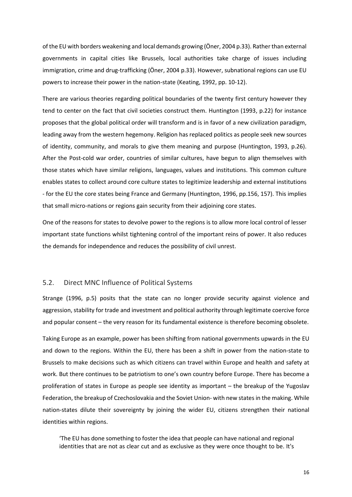of the EU with borders weakening and local demands growing (Öner, 2004 p.33). Ratherthan external governments in capital cities like Brussels, local authorities take charge of issues including immigration, crime and drug-trafficking (Öner, 2004 p.33). However, subnational regions can use EU powers to increase their power in the nation-state (Keating, 1992, pp. 10-12).

There are various theories regarding political boundaries of the twenty first century however they tend to center on the fact that civil societies construct them. Huntington (1993, p.22) for instance proposes that the global political order will transform and is in favor of a new civilization paradigm, leading away from the western hegemony. Religion has replaced politics as people seek new sources of identity, community, and morals to give them meaning and purpose (Huntington, 1993, p.26). After the Post-cold war order, countries of similar cultures, have begun to align themselves with those states which have similar religions, languages, values and institutions. This common culture enables states to collect around core culture states to legitimize leadership and external institutions - for the EU the core states being France and Germany (Huntington, 1996, pp.156, 157). This implies that small micro-nations or regions gain security from their adjoining core states.

One of the reasons for states to devolve power to the regions is to allow more local control of lesser important state functions whilst tightening control of the important reins of power. It also reduces the demands for independence and reduces the possibility of civil unrest.

#### <span id="page-15-0"></span>5.2. Direct MNC Influence of Political Systems

Strange (1996, p.5) posits that the state can no longer provide security against violence and aggression, stability for trade and investment and political authority through legitimate coercive force and popular consent – the very reason for its fundamental existence is therefore becoming obsolete.

Taking Europe as an example, power has been shifting from national governments upwards in the EU and down to the regions. Within the EU, there has been a shift in power from the nation-state to Brussels to make decisions such as which citizens can travel within Europe and health and safety at work. But there continues to be patriotism to one's own country before Europe. There has become a proliferation of states in Europe as people see identity as important – the breakup of the Yugoslav Federation, the breakup of Czechoslovakia and the Soviet Union- with new states in the making. While nation-states dilute their sovereignty by joining the wider EU, citizens strengthen their national identities within regions.

'The EU has done something to foster the idea that people can have national and regional identities that are not as clear cut and as exclusive as they were once thought to be. It's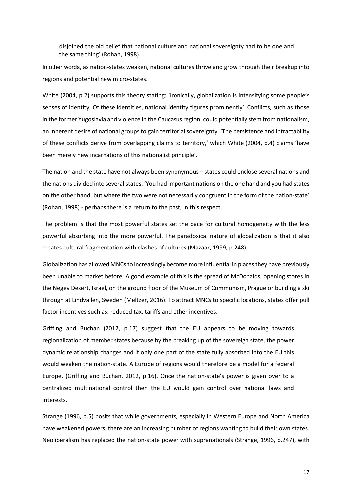disjoined the old belief that national culture and national sovereignty had to be one and the same thing' (Rohan, 1998).

In other words, as nation-states weaken, national cultures thrive and grow through their breakup into regions and potential new micro-states.

White (2004, p.2) supports this theory stating: 'Ironically, globalization is intensifying some people's senses of identity. Of these identities, national identity figures prominently'. Conflicts, such as those in the former Yugoslavia and violence in the Caucasus region, could potentially stem from nationalism, an inherent desire of national groups to gain territorial sovereignty. 'The persistence and intractability of these conflicts derive from overlapping claims to territory,' which White (2004, p.4) claims 'have been merely new incarnations of this nationalist principle'.

The nation and the state have not always been synonymous – states could enclose several nations and the nations divided into several states. 'You had important nations on the one hand and you had states on the other hand, but where the two were not necessarily congruent in the form of the nation-state' (Rohan, 1998) - perhaps there is a return to the past, in this respect.

The problem is that the most powerful states set the pace for cultural homogeneity with the less powerful absorbing into the more powerful. The paradoxical nature of globalization is that it also creates cultural fragmentation with clashes of cultures (Mazaar, 1999, p.248).

Globalization has allowed MNCs to increasingly become more influential in places they have previously been unable to market before. A good example of this is the spread of McDonalds, opening stores in the Negev Desert, Israel, on the ground floor of the Museum of Communism, Prague or building a ski through at Lindvallen, Sweden (Meltzer, 2016). To attract MNCs to specific locations, states offer pull factor incentives such as: reduced tax, tariffs and other incentives.

Griffing and Buchan (2012, p.17) suggest that the EU appears to be moving towards regionalization of member states because by the breaking up of the sovereign state, the power dynamic relationship changes and if only one part of the state fully absorbed into the EU this would weaken the nation-state. A Europe of regions would therefore be a model for a federal Europe. (Griffing and Buchan, 2012, p.16). Once the nation-state's power is given over to a centralized multinational control then the EU would gain control over national laws and interests.

Strange (1996, p.5) posits that while governments, especially in Western Europe and North America have weakened powers, there are an increasing number of regions wanting to build their own states. Neoliberalism has replaced the nation-state power with supranationals (Strange, 1996, p.247), with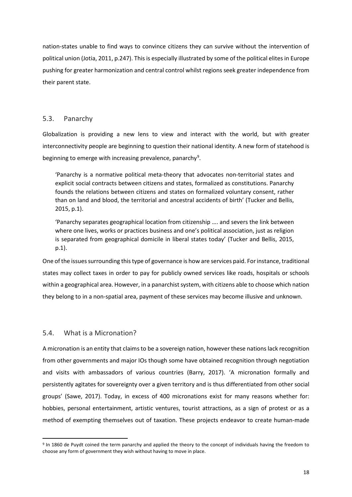nation-states unable to find ways to convince citizens they can survive without the intervention of political union (Jotia, 2011, p.247). This is especially illustrated by some of the political elites in Europe pushing for greater harmonization and central control whilst regions seek greater independence from their parent state.

#### <span id="page-17-0"></span>5.3. Panarchy

Globalization is providing a new lens to view and interact with the world, but with greater interconnectivity people are beginning to question their national identity. A new form of statehood is beginning to emerge with increasing prevalence, panarchy<sup>[9](#page-17-2)</sup>.

'Panarchy is a normative political meta-theory that advocates non-territorial states and explicit social contracts between citizens and states, formalized as constitutions. Panarchy founds the relations between citizens and states on formalized voluntary consent, rather than on land and blood, the territorial and ancestral accidents of birth' (Tucker and Bellis, 2015, p.1).

'Panarchy separates geographical location from citizenship …. and severs the link between where one lives, works or practices business and one's political association, just as religion is separated from geographical domicile in liberal states today' (Tucker and Bellis, 2015, p.1).

One of the issues surrounding this type of governance is how are services paid. For instance, traditional states may collect taxes in order to pay for publicly owned services like roads, hospitals or schools within a geographical area. However, in a panarchist system, with citizens able to choose which nation they belong to in a non-spatial area, payment of these services may become illusive and unknown.

#### <span id="page-17-1"></span>5.4. What is a Micronation?

A micronation is an entity that claims to be a sovereign nation, however these nations lack recognition from other governments and major IOs though some have obtained recognition through negotiation and visits with ambassadors of various countries (Barry, 2017). 'A micronation formally and persistently agitates for sovereignty over a given territory and is thus differentiated from other social groups' (Sawe, 2017). Today, in excess of 400 micronations exist for many reasons whether for: hobbies, personal entertainment, artistic ventures, tourist attractions, as a sign of protest or as a method of exempting themselves out of taxation. These projects endeavor to create human-made

<span id="page-17-2"></span> <sup>9</sup> In 1860 de Puydt coined the term panarchy and applied the theory to the concept of individuals having the freedom to choose any form of government they wish without having to move in place.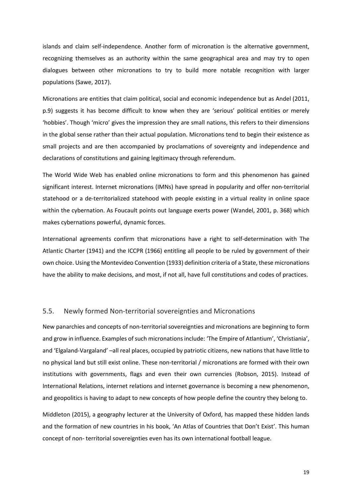islands and claim self-independence. Another form of micronation is the alternative government, recognizing themselves as an authority within the same geographical area and may try to open dialogues between other micronations to try to build more notable recognition with larger populations (Sawe, 2017).

Micronations are entities that claim political, social and economic independence but as Andel (2011, p.9) suggests it has become difficult to know when they are 'serious' political entities or merely 'hobbies'. Though 'micro' gives the impression they are small nations, this refers to their dimensions in the global sense rather than their actual population. Micronations tend to begin their existence as small projects and are then accompanied by proclamations of sovereignty and independence and declarations of constitutions and gaining legitimacy through referendum.

The World Wide Web has enabled online micronations to form and this phenomenon has gained significant interest. Internet micronations (IMNs) have spread in popularity and offer non-territorial statehood or a de-territorialized statehood with people existing in a virtual reality in online space within the cybernation. As Foucault points out language exerts power (Wandel, 2001, p. 368) which makes cybernations powerful, dynamic forces.

International agreements confirm that micronations have a right to self-determination with The Atlantic Charter (1941) and the ICCPR (1966) entitling all people to be ruled by government of their own choice. Using the Montevideo Convention (1933) definition criteria of a State, these micronations have the ability to make decisions, and most, if not all, have full constitutions and codes of practices.

#### <span id="page-18-0"></span>5.5. Newly formed Non-territorial sovereignties and Micronations

New panarchies and concepts of non-territorial sovereignties and micronations are beginning to form and grow in influence. Examples of such micronations include: 'The Empire of Atlantium', 'Christiania', and 'Elgaland-Vargaland' –all real places, occupied by patriotic citizens, new nations that have little to no physical land but still exist online. These non-territorial / micronations are formed with their own institutions with governments, flags and even their own currencies (Robson, 2015). Instead of International Relations, internet relations and internet governance is becoming a new phenomenon, and geopolitics is having to adapt to new concepts of how people define the country they belong to.

Middleton (2015), a geography lecturer at the University of Oxford, has mapped these hidden lands and the formation of new countries in his book, 'An Atlas of Countries that Don't Exist'. This human concept of non- territorial sovereignties even has its own international football league.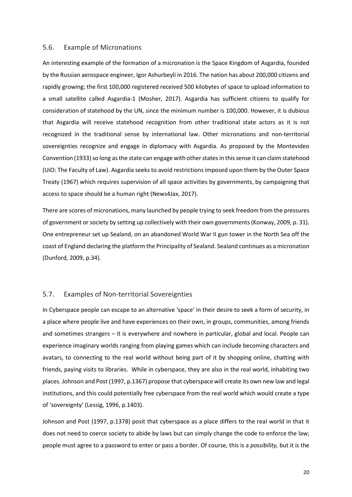#### <span id="page-19-0"></span>5.6. Example of Micronations

An interesting example of the formation of a micronation is the Space Kingdom of Asgardia, founded by the Russian aerospace engineer, Igor Ashurbeyli in 2016. The nation has about 200,000 citizens and rapidly growing; the first 100,000 registered received 500 kilobytes of space to upload information to a small satellite called Asgardia-1 (Mosher, 2017). Asgardia has sufficient citizens to qualify for consideration of statehood by the UN, since the minimum number is 100,000. However, it is dubious that Asgardia will receive statehood recognition from other traditional state actors as it is not recognized in the traditional sense by international law. Other micronations and non-territorial sovereignties recognize and engage in diplomacy with Asgardia. As proposed by the Montevideo Convention (1933) so long as the state can engage with other states in this sense it can claim statehood (UiO: The Faculty of Law). Asgardia seeks to avoid restrictions imposed upon them by the Outer Space Treaty (1967) which requires supervision of all space activities by governments, by campaigning that access to space should be a human right (News4Jax, 2017).

There are scores of micronations, many launched by people trying to seek freedom from the pressures of government or society by setting up collectively with their own governments (Konway, 2009, p. 31). One entrepreneur set up Sealand, on an abandoned World War II gun tower in the North Sea off the coast of England declaring the platform the Principality of Sealand. Sealand continues as a micronation (Dunford, 2009, p.34).

#### <span id="page-19-1"></span>5.7. Examples of Non-territorial Sovereignties

In Cyberspace people can escape to an alternative 'space' in their desire to seek a form of security, in a place where people live and have experiences on their own, in groups, communities, among friends and sometimes strangers – it is everywhere and nowhere in particular, global and local. People can experience imaginary worlds ranging from playing games which can include becoming characters and avatars, to connecting to the real world without being part of it by shopping online, chatting with friends, paying visits to libraries. While in cyberspace, they are also in the real world, inhabiting two places. Johnson and Post (1997, p.1367) propose that cyberspace will create its own new law and legal institutions, and this could potentially free cyberspace from the real world which would create a type of 'sovereignty' (Lessig, 1996, p.1403).

Johnson and Post (1997, p.1378) posit that cyberspace as a place differs to the real world in that it does not need to coerce society to abide by laws but can simply change the code to enforce the law; people must agree to a password to enter or pass a border. Of course, this is a *possibility,* but it is the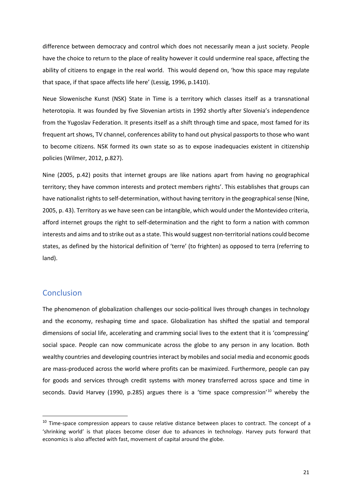difference between democracy and control which does not necessarily mean a just society. People have the choice to return to the place of reality however it could undermine real space, affecting the ability of citizens to engage in the real world. This would depend on, 'how this space may regulate that space, if that space affects life here' (Lessig, 1996, p.1410).

Neue Slowenische Kunst (NSK) State in Time is a territory which classes itself as a transnational heterotopia. It was founded by five Slovenian artists in 1992 shortly after Slovenia's independence from the Yugoslav Federation. It presents itself as a shift through time and space, most famed for its frequent art shows, TV channel, conferences ability to hand out physical passports to those who want to become citizens. NSK formed its own state so as to expose inadequacies existent in citizenship policies (Wilmer, 2012, p.827).

Nine (2005, p.42) posits that internet groups are like nations apart from having no geographical territory; they have common interests and protect members rights'. This establishes that groups can have nationalist rights to self-determination, without having territory in the geographical sense (Nine, 2005, p. 43). Territory as we have seen can be intangible, which would under the Montevideo criteria, afford internet groups the right to self-determination and the right to form a nation with common interests and aims and to strike out as a state. This would suggest non-territorial nations could become states, as defined by the historical definition of 'terre' (to frighten) as opposed to terra (referring to land).

# <span id="page-20-0"></span>**Conclusion**

The phenomenon of globalization challenges our socio-political lives through changes in technology and the economy, reshaping time and space. Globalization has shifted the spatial and temporal dimensions of social life, accelerating and cramming social lives to the extent that it is 'compressing' social space. People can now communicate across the globe to any person in any location. Both wealthy countries and developing countries interact by mobiles and social media and economic goods are mass-produced across the world where profits can be maximized. Furthermore, people can pay for goods and services through credit systems with money transferred across space and time in seconds. David Harvey (1990, p.285) argues there is a 'time space compression'<sup>[10](#page-20-1)</sup> whereby the

<span id="page-20-1"></span><sup>&</sup>lt;sup>10</sup> Time-space compression appears to cause relative distance between places to contract. The concept of a 'shrinking world' is that places become closer due to advances in technology. Harvey puts forward that economics is also affected with fast, movement of capital around the globe.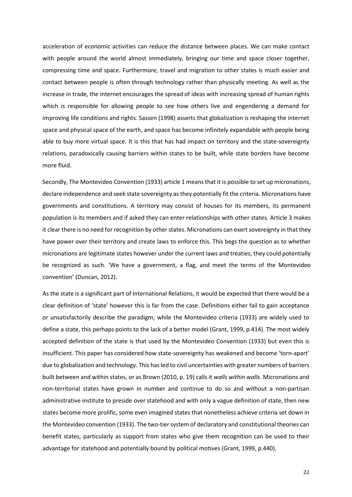acceleration of economic activities can reduce the distance between places. We can make contact with people around the world almost immediately, bringing our time and space closer together, compressing time and space. Furthermore, travel and migration to other states is much easier and contact between people is often through technology rather than physically meeting. As well as the increase in trade, the internet encourages the spread of ideas with increasing spread of human rights which is responsible for allowing people to see how others live and engendering a demand for improving life conditions and rights. Sassen (1998) asserts that globalization is reshaping the internet space and physical space of the earth, and space has become infinitely expandable with people being able to buy more virtual space. It is this that has had impact on territory and the state-sovereignty relations, paradoxically causing barriers within states to be built, while state borders have become more fluid.

Secondly, The Montevideo Convention (1933) article 1 means that it is possible to set up micronations, declare independence and seek state sovereignty as they potentially fit the criteria. Micronations have governments and constitutions. A territory may consist of houses for its members, its permanent population is its members and if asked they can enter relationships with other states. Article 3 makes it clear there is no need for recognition by other states. Micronations can exert sovereignty in that they have power over their territory and create laws to enforce this. This begs the question as to whether micronations are legitimate states however under the current laws and treaties, they could potentially be recognized as such. 'We have a government, a flag, and meet the terms of the Montevideo convention' (Duncan, 2012).

As the state is a significant part of International Relations, it would be expected that there would be a clear definition of 'state' however this is far from the case. Definitions either fail to gain acceptance or unsatisfactorily describe the paradigm; while the Montevideo criteria (1933) are widely used to define a state, this perhaps points to the lack of a better model (Grant, 1999, p.414). The most widely accepted definition of the state is that used by the Montevideo Convention (1933) but even this is insufficient. This paper has considered how state-sovereignty has weakened and become 'torn-apart' due to globalization and technology. This has led to civil uncertainties with greater numbers of barriers built between and within states, or as Brown (2010, p. 19) calls it *walls within walls*. Micronations and non-territorial states have grown in number and continue to do so and without a non-partisan administrative institute to preside over statehood and with only a vague definition of state, then new states become more prolific, some even imagined states that nonetheless achieve criteria set down in the Montevideo convention (1933). The two-tier system of declaratory and constitutional theories can benefit states, particularly as support from states who give them recognition can be used to their advantage for statehood and potentially bound by political motives (Grant, 1999, p.440).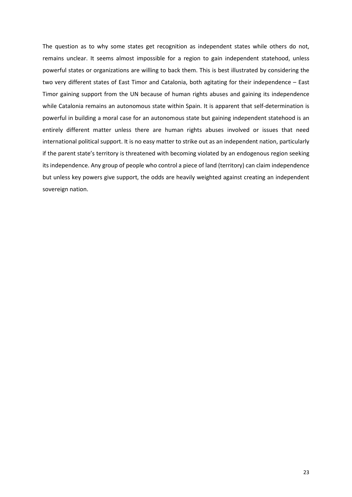The question as to why some states get recognition as independent states while others do not, remains unclear. It seems almost impossible for a region to gain independent statehood, unless powerful states or organizations are willing to back them. This is best illustrated by considering the two very different states of East Timor and Catalonia, both agitating for their independence – East Timor gaining support from the UN because of human rights abuses and gaining its independence while Catalonia remains an autonomous state within Spain. It is apparent that self-determination is powerful in building a moral case for an autonomous state but gaining independent statehood is an entirely different matter unless there are human rights abuses involved or issues that need international political support. It is no easy matter to strike out as an independent nation, particularly if the parent state's territory is threatened with becoming violated by an endogenous region seeking its independence. Any group of people who control a piece of land (territory) can claim independence but unless key powers give support, the odds are heavily weighted against creating an independent sovereign nation.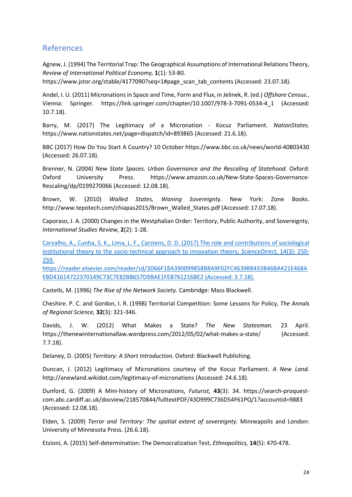# <span id="page-23-0"></span>References

Agnew, J. (1994) The Territorial Trap: The Geographical Assumptions of International Relations Theory, *Review of International Political Economy,* **1**(1): 53-80.

https://www.jstor.org/stable/4177090?seq=1#page\_scan\_tab\_contents (Accessed: 23.07.18).

Andel, I. U. (2011) Micronations in Space and Time, Form and Flux, in Jelinek, R. (ed.) *Offshore Census.*, Vienna: Springer. https://link.springer.com/chapter/10.1007/978-3-7091-0534-4\_1 (Accessed: 10.7.18).

Barry, M. (2017) The Legitimacy of a Micronation - Kocuz Parliament. *NationStates.* https://www.nationstates.net/page=dispatch/id=893865 (Accessed: 21.6.18).

BBC (2017) How Do You Start A Country? 10 October https://www.bbc.co.uk/news/world-40803430 (Accessed: 26.07.18).

Brenner, N. (2004) *New State Spaces. Urban Governance and the Rescaling of Statehood.* Oxford: Oxford University Press. https://www.amazon.co.uk/New-State-Spaces-Governance-Rescaling/dp/0199270066 (Accessed: 12.08.18).

Brown, W. (2010) *Walled States, Waning Sovereignty.* New York: Zone Books. http://www.tepotech.com/chiapas2015/Brown\_Walled\_States.pdf (Accessed: 17.07.18).

Caporaso, J. A. (2000) Changes in the Westphalian Order: Territory, Public Authority, and Sovereignty, *International Studies Review,* **2**(2): 1-28.

Carvalho, A., Cunha, S. K., Lima, L. F., Carstens, D. D. (2017) The role and contributions of sociological institutional theory to the socio-technical approach to innovation theory, *ScienceDirect,* 14(3): 250- 259.

https://reader.elsevier.com/reader/sd/3D66F18A390099858B8A9F02FC463988433B46BA421E468A EBD41614722370149C73C7E82BB657D9BAE1FEB761216BE2 (Accessed: 3.7.18).

Castells, M. (1996) *The Rise of the Network Society.* Cambridge: Mass Blackwell.

Cheshire. P. C. and Gordon, I. R. (1998) Territorial Competition: Some Lessons for Policy, *The Annals of Regional Science,* **32**(3): 321-346.

Davids, J. W. (2012) What Makes a State? *The New Statesman.* 23 April. https://thenewinternationallaw.wordpress.com/2012/05/02/what-makes-a-state/ (Accessed: 7.7.18).

Delaney, D. (2005) *Territory: A Short Introduction.* Oxford: Blackwell Publishing.

Duncan, J. (2012) Legitimacy of Micronations courtesy of the Kocuz Parliament. *A New Land.* http://anewland.wikidot.com/legitimacy-of-micronations (Accessed: 24.6.18).

Dunford, G. (2009) A Mini-history of Micronations, *Futurist,* **43**(3): 34. https://search-proquestcom.abc.cardiff.ac.uk/docview/218570844/fulltextPDF/43D999C736D54F61PQ/1?accountid=9883 (Accessed: 12.08.18).

Elden, S. (2009) *Terror and Territory: The spatial extent of sovereignty.* Minneapolis and London: University of Minnesota Press. (26.6.18).

Etzioni, A. (2015) Self-determination: The Democratization Test, *Ethnopolitics,* **14**(5): 470-478.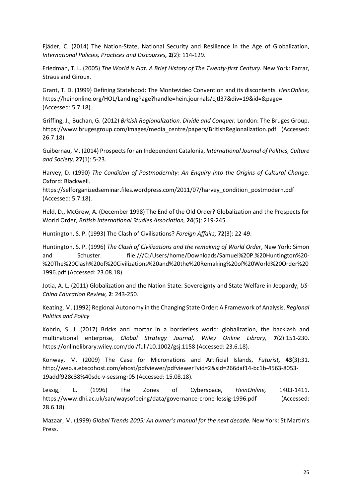Fjäder, C. (2014) The Nation-State, National Security and Resilience in the Age of Globalization, *International Policies, Practices and Discourses,* **2**(2): 114-129.

Friedman, T. L. (2005) *The World is Flat. A Brief History of The Twenty-first Century.* New York: Farrar, Straus and Giroux.

Grant, T. D. (1999) Defining Statehood: The Montevideo Convention and its discontents*. HeinOnline,* https://heinonline.org/HOL/LandingPage?handle=hein.journals/cjtl37&div=19&id=&page= (Accessed: 5.7.18).

Griffing, J., Buchan, G. (2012) *British Regionalization. Divide and Conquer.* London: The Bruges Group. https://www.brugesgroup.com/images/media\_centre/papers/BritishRegionalization.pdf (Accessed: 26.7.18).

Guibernau, M. (2014) Prospects for an Independent Catalonia, *International Journal of Politics, Culture and Society,* **27**(1): 5-23.

Harvey, D. (1990) *The Condition of Postmodernity: An Enquiry into the Origins of Cultural Change.* Oxford: Blackwell.

https://selforganizedseminar.files.wordpress.com/2011/07/harvey\_condition\_postmodern.pdf (Accessed: 5.7.18).

Held, D., McGrew, A. (December 1998) The End of the Old Order? Globalization and the Prospects for World Order, *British International Studies Association,* **24**(5): 219-245.

Huntington, S. P. (1993) The Clash of Civilisations? *Foreign Affairs,* **72**(3): 22-49.

Huntington, S. P. (1996) *The Clash of Civilizations and the remaking of World Order*, New York: Simon and Schuster. file:///C:/Users/home/Downloads/Samuel%20P.%20Huntington%20-%20The%20Clash%20of%20Civilizations%20and%20the%20Remaking%20of%20World%20Order%20 1996.pdf (Accessed: 23.08.18).

Jotia, A. L. (2011) Globalization and the Nation State: Sovereignty and State Welfare in Jeopardy, *US-China Education Review,* **2**: 243-250.

Keating, M. (1992) Regional Autonomy in the Changing State Order: A Framework of Analysis. *Regional Politics and Policy*

Kobrin, S. J. (2017) Bricks and mortar in a borderless world: globalization, the backlash and multinational enterprise, *Global Strategy Journal, Wiley Online Library,* **7**(2):151-230. https://onlinelibrary.wiley.com/doi/full/10.1002/gsj.1158 (Accessed: 23.6.18).

Konway, M. (2009) The Case for Micronations and Artificial Islands, *Futurist,* **43**(3):31. http://web.a.ebscohost.com/ehost/pdfviewer/pdfviewer?vid=2&sid=266daf14-bc1b-4563-8053- 19addf928c38%40sdc-v-sessmgr05 (Accessed: 15.08.18).

Lessig, L. (1996) The Zones of Cyberspace, *HeinOnline,* 1403-1411. https://www.dhi.ac.uk/san/waysofbeing/data/governance-crone-lessig-1996.pdf (Accessed: 28.6.18).

Mazaar, M. (1999) *Global Trends 2005: An owner's manual for the next decade.* New York: St Martin's Press.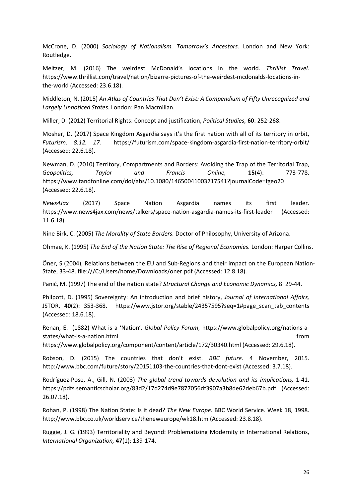McCrone, D. (2000) *Sociology of Nationalism. Tomorrow's Ancestors.* London and New York: Routledge.

Meltzer, M. (2016) The weirdest McDonald's locations in the world. *Thrillist Travel.*  https://www.thrillist.com/travel/nation/bizarre-pictures-of-the-weirdest-mcdonalds-locations-inthe-world (Accessed: 23.6.18).

Middleton, N. (2015) *An Atlas of Countries That Don't Exist: A Compendium of Fifty Unrecognized and Largely Unnoticed States.* London: Pan Macmillan.

Miller, D. (2012) Territorial Rights: Concept and justification, *Political Studies,* **60**: 252-268.

Mosher, D. (2017) Space Kingdom Asgardia says it's the first nation with all of its territory in orbit, *Futurism. 8.12. 17.* https://futurism.com/space-kingdom-asgardia-first-nation-territory-orbit/ (Accessed: 22.6.18).

Newman, D. (2010) Territory, Compartments and Borders: Avoiding the Trap of the Territorial Trap, *Geopolitics, Taylor and Francis Online,* **15**(4): 773-778. https://www.tandfonline.com/doi/abs/10.1080/14650041003717541?journalCode=fgeo20 (Accessed: 22.6.18).

*News4Jax* (2017) Space Nation Asgardia names its first leader. https://www.news4jax.com/news/talkers/space-nation-asgardia-names-its-first-leader (Accessed: 11.6.18).

Nine Birk, C. (2005) *The Morality of State Borders.* Doctor of Philosophy, University of Arizona.

Ohmae, K. (1995) *The End of the Nation State: The Rise of Regional Economies.* London: Harper Collins.

Öner, S (2004), Relations between the EU and Sub-Regions and their impact on the European Nation-State, 33-48. file:///C:/Users/home/Downloads/oner.pdf (Accessed: 12.8.18).

Panić, M. (1997) The end of the nation state? *Structural Change and Economic Dynamics,* 8: 29-44.

Philpott, D. (1995) Sovereignty: An introduction and brief history, *Journal of International Affairs,* JSTOR, **40**(2): 353-368. https://www.jstor.org/stable/24357595?seq=1#page\_scan\_tab\_contents (Accessed: 18.6.18).

Renan, E. (1882) What is a 'Nation'. *Global Policy Forum,* https://www.globalpolicy.org/nations-astates/what-is-a-nation.html from the states/what-is-a-nation.html from the states/what-is-a-nation.html from the states of  $\sim$ 

https://www.globalpolicy.org/component/content/article/172/30340.html (Accessed: 29.6.18).

Robson, D. (2015) The countries that don't exist. *BBC future.* 4 November, 2015. http://www.bbc.com/future/story/20151103-the-countries-that-dont-exist (Accessed: 3.7.18).

Rodríguez-Pose, A., Gill, N. (2003) *The global trend towards devolution and its implications,* 1-41. https://pdfs.semanticscholar.org/83d2/17d274d9e7877056df3907a3b8de62deb67b.pdf (Accessed: 26.07.18).

Rohan, P. (1998) The Nation State: Is it dead? *The New Europe.* BBC World Service. Week 18, 1998. http://www.bbc.co.uk/worldservice/theneweurope/wk18.htm (Accessed: 23.8.18).

Ruggie, J. G. (1993) Territoriality and Beyond: Problematizing Modernity in International Relations, *International Organization,* **47**(1): 139-174.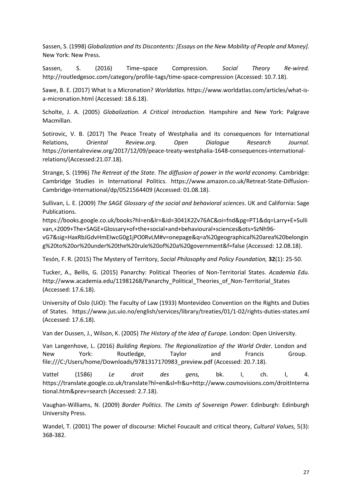Sassen, S. (1998) *Globalization and Its Discontents: [Essays on the New Mobility of People and Money].* New York: New Press.

Sassen, S. (2016) Time–space Compression*. Social Theory Re-wired.* http://routledgesoc.com/category/profile-tags/time-space-compression (Accessed: 10.7.18).

Sawe, B. E. (2017) What Is a Micronation? *Worldatlas.* https://www.worldatlas.com/articles/what-isa-micronation.html (Accessed: 18.6.18).

Scholte, J. A. (2005) *Globalization. A Critical Introduction.* Hampshire and New York: Palgrave Macmillan.

Sotirovic, V. B. (2017) The Peace Treaty of Westphalia and its consequences for International Relations, *Oriental Review.org. Open Dialogue Research Journal.* https://orientalreview.org/2017/12/09/peace-treaty-westphalia-1648-consequences-internationalrelations/(Accessed:21.07.18).

Strange, S. (1996) *The Retreat of the State. The diffusion of power in the world economy.* Cambridge: Cambridge Studies in International Politics. https://www.amazon.co.uk/Retreat-State-Diffusion-Cambridge-International/dp/0521564409 (Accessed: 01.08.18).

Sullivan, L. E. (2009) *The SAGE Glossary of the social and behavioral sciences*. UK and California: Sage Publications.

https://books.google.co.uk/books?hl=en&lr=&id=3041K2Zv76AC&oi=fnd&pg=PT1&dq=Larry+E+Sulli van,+2009+The+SAGE+Glossary+of+the+social+and+behavioural+sciences&ots=SzNh96 vG7&sig=HaxRbJGdvHmEIwcG0g1jPO0RvLM#v=onepage&q=a%20geographical%20area%20belongin g%20to%20or%20under%20the%20rule%20of%20a%20government&f=false (Accessed: 12.08.18).

Tesón, F. R. (2015) The Mystery of Territory, *Social Philosophy and Policy Foundation,* **32**(1): 25-50.

Tucker, A., Bellis, G. (2015) Panarchy: Political Theories of Non-Territorial States. *Academia Edu.* http://www.academia.edu/11981268/Panarchy\_Political\_Theories\_of\_Non-Territorial\_States (Accessed: 17.6.18).

University of Oslo (UiO): The Faculty of Law (1933) Montevideo Convention on the Rights and Duties of States. https://www.jus.uio.no/english/services/library/treaties/01/1-02/rights-duties-states.xml (Accessed: 17.6.18).

Van der Dussen, J., Wilson, K. (2005) *The History of the Idea of Europe.* London: Open University.

Van Langenhove, L. (2016) *Building Regions. The Regionalization of the World Order.* London and New York: Routledge, Taylor and Francis Group. file:///C:/Users/home/Downloads/9781317170983\_preview.pdf (Accessed: 20.7.18).

Vattel (1586) *Le droit des gens,* bk. I, ch. I, 4. https://translate.google.co.uk/translate?hl=en&sl=fr&u=http://www.cosmovisions.com/droitInterna tional.htm&prev=search (Accessed: 2.7.18).

Vaughan-Williams, N. (2009) *Border Politics. The Limits of Sovereign Power.* Edinburgh: Edinburgh University Press.

Wandel, T. (2001) The power of discourse: Michel Foucault and critical theory, *Cultural Values,* 5(3): 368-382.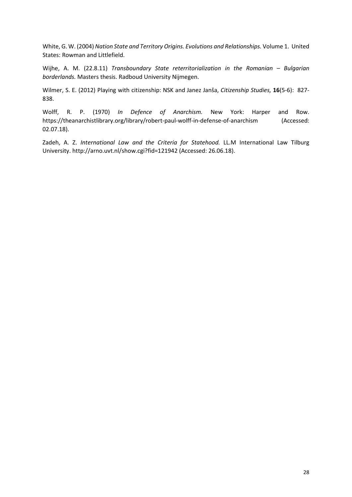White, G. W. (2004) *Nation State and Territory Origins. Evolutions and Relationships.* Volume 1. United States: Rowman and Littlefield.

Wijhe, A. M. (22.8.11) *Transboundary State reterritorialization in the Romanian – Bulgarian borderlands.* Masters thesis. Radboud University Nijmegen.

Wilmer, S. E. (2012) Playing with citizenship: NSK and Janez Janša, *Citizenship Studies,* **16**(5-6): 827- 838.

Wolff, R. P. (1970) *In Defence of Anarchism.* New York: Harper and Row. https://theanarchistlibrary.org/library/robert-paul-wolff-in-defense-of-anarchism (Accessed: 02.07.18).

Zadeh, A. Z. *International Law and the Criteria for Statehood.* LL.M International Law Tilburg University. http://arno.uvt.nl/show.cgi?fid=121942 (Accessed: 26.06.18).